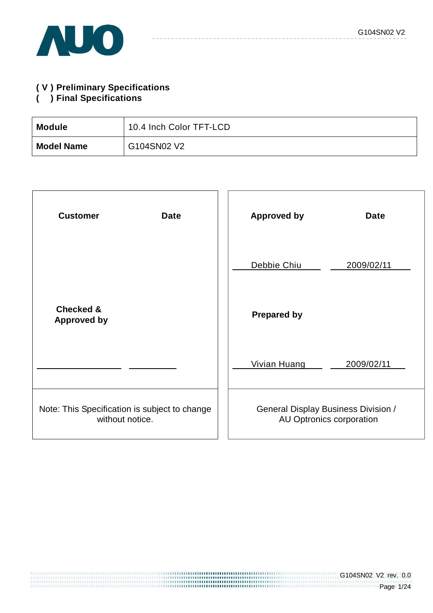

## **( V ) Preliminary Specifications**

### **( ) Final Specifications**

| <b>Module</b>     | 10.4 Inch Color TFT-LCD |
|-------------------|-------------------------|
| <b>Model Name</b> | G104SN02 V2             |

| <b>Customer</b><br><b>Date</b>                                   | <b>Approved by</b><br><b>Date</b>                                      |
|------------------------------------------------------------------|------------------------------------------------------------------------|
|                                                                  | Debbie Chiu<br>2009/02/11                                              |
| <b>Checked &amp;</b><br><b>Approved by</b>                       | <b>Prepared by</b>                                                     |
|                                                                  | <b>Vivian Huang</b><br>2009/02/11                                      |
| Note: This Specification is subject to change<br>without notice. | <b>General Display Business Division /</b><br>AU Optronics corporation |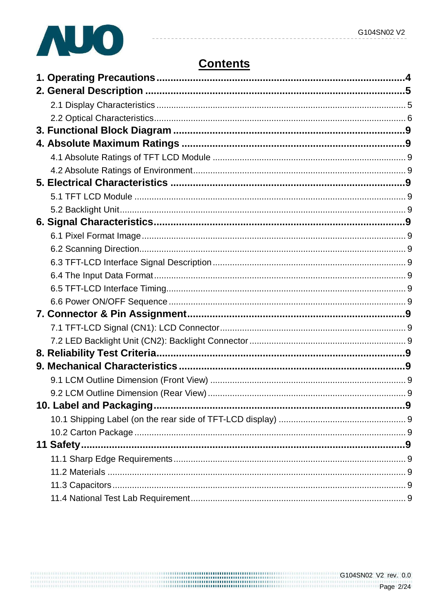

# **Contents**

| 11 Safety |  |
|-----------|--|
|           |  |
|           |  |
|           |  |
|           |  |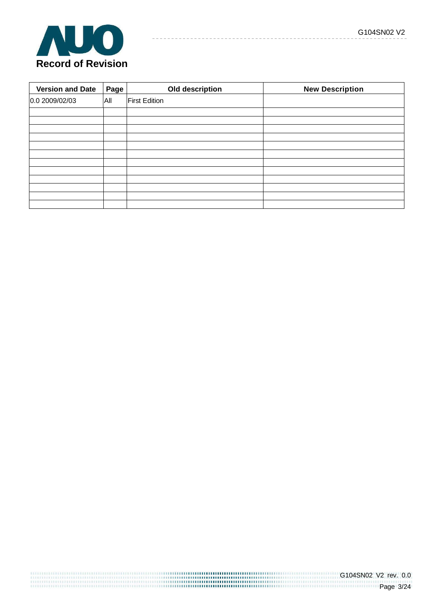

| <b>Version and Date</b> | Page | Old description      | <b>New Description</b> |
|-------------------------|------|----------------------|------------------------|
| 0.0 2009/02/03          | All  | <b>First Edition</b> |                        |
|                         |      |                      |                        |
|                         |      |                      |                        |
|                         |      |                      |                        |
|                         |      |                      |                        |
|                         |      |                      |                        |
|                         |      |                      |                        |
|                         |      |                      |                        |
|                         |      |                      |                        |
|                         |      |                      |                        |
|                         |      |                      |                        |
|                         |      |                      |                        |
|                         |      |                      |                        |

 $- - - - - -$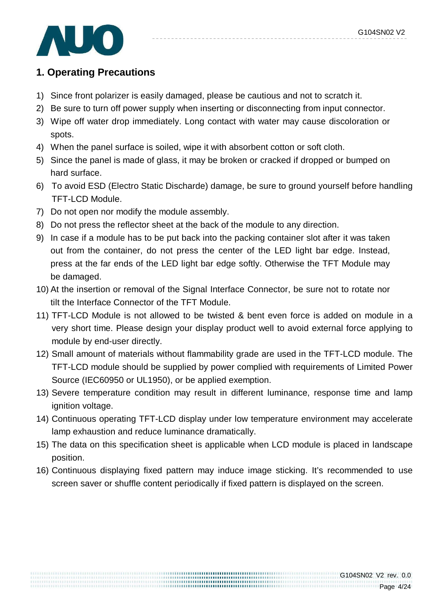

## **1. Operating Precautions**

- 1) Since front polarizer is easily damaged, please be cautious and not to scratch it.
- 2) Be sure to turn off power supply when inserting or disconnecting from input connector.
- 3) Wipe off water drop immediately. Long contact with water may cause discoloration or spots.
- 4) When the panel surface is soiled, wipe it with absorbent cotton or soft cloth.
- 5) Since the panel is made of glass, it may be broken or cracked if dropped or bumped on hard surface.
- 6) To avoid ESD (Electro Static Discharde) damage, be sure to ground yourself before handling TFT-LCD Module.
- 7) Do not open nor modify the module assembly.
- 8) Do not press the reflector sheet at the back of the module to any direction.
- 9) In case if a module has to be put back into the packing container slot after it was taken out from the container, do not press the center of the LED light bar edge. Instead, press at the far ends of the LED light bar edge softly. Otherwise the TFT Module may be damaged.
- 10) At the insertion or removal of the Signal Interface Connector, be sure not to rotate nor tilt the Interface Connector of the TFT Module.
- 11) TFT-LCD Module is not allowed to be twisted & bent even force is added on module in a very short time. Please design your display product well to avoid external force applying to module by end-user directly.
- 12) Small amount of materials without flammability grade are used in the TFT-LCD module. The TFT-LCD module should be supplied by power complied with requirements of Limited Power Source (IEC60950 or UL1950), or be applied exemption.
- 13) Severe temperature condition may result in different luminance, response time and lamp ignition voltage.
- 14) Continuous operating TFT-LCD display under low temperature environment may accelerate lamp exhaustion and reduce luminance dramatically.
- 15) The data on this specification sheet is applicable when LCD module is placed in landscape position.
- 16) Continuous displaying fixed pattern may induce image sticking. It's recommended to use screen saver or shuffle content periodically if fixed pattern is displayed on the screen.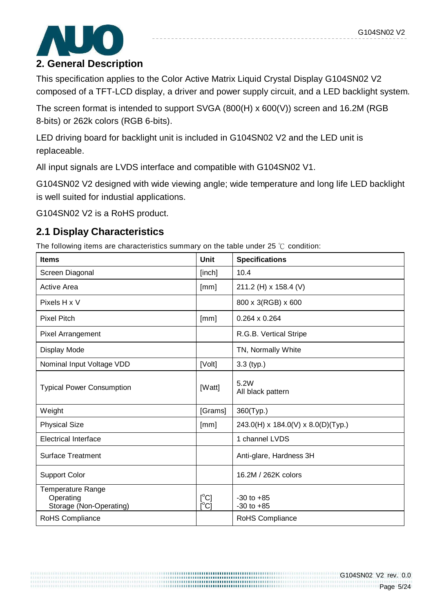

### **2. General Description**

This specification applies to the Color Active Matrix Liquid Crystal Display G104SN02 V2 composed of a TFT-LCD display, a driver and power supply circuit, and a LED backlight system.

The screen format is intended to support SVGA (800(H) x 600(V)) screen and 16.2M (RGB 8-bits) or 262k colors (RGB 6-bits).

LED driving board for backlight unit is included in G104SN02 V2 and the LED unit is replaceable.

All input signals are LVDS interface and compatible with G104SN02 V1.

G104SN02 V2 designed with wide viewing angle; wide temperature and long life LED backlight is well suited for industial applications.

G104SN02 V2 is a RoHS product.

### **2.1 Display Characteristics**

The following items are characteristics summary on the table under 25 ℃ condition:

| <b>Items</b>                                                     | <b>Unit</b>                    | <b>Specifications</b>              |
|------------------------------------------------------------------|--------------------------------|------------------------------------|
| Screen Diagonal                                                  | [inch]                         | 10.4                               |
| Active Area                                                      | [mm]                           | 211.2 (H) x 158.4 (V)              |
| Pixels H x V                                                     |                                | 800 x 3(RGB) x 600                 |
| <b>Pixel Pitch</b>                                               | [mm]                           | $0.264 \times 0.264$               |
| <b>Pixel Arrangement</b>                                         |                                | R.G.B. Vertical Stripe             |
| Display Mode                                                     |                                | TN, Normally White                 |
| Nominal Input Voltage VDD                                        | [Volt]                         | $3.3$ (typ.)                       |
| <b>Typical Power Consumption</b>                                 | [Watt]                         | 5.2W<br>All black pattern          |
| Weight                                                           | [Grams]                        | 360(Typ.)                          |
| <b>Physical Size</b>                                             | [mm]                           | 243.0(H) x 184.0(V) x 8.0(D)(Typ.) |
| <b>Electrical Interface</b>                                      |                                | 1 channel LVDS                     |
| <b>Surface Treatment</b>                                         |                                | Anti-glare, Hardness 3H            |
| <b>Support Color</b>                                             |                                | 16.2M / 262K colors                |
| <b>Temperature Range</b><br>Operating<br>Storage (Non-Operating) | $[^{\circ}C]$<br>$[^{\circ}C]$ | $-30$ to $+85$<br>$-30$ to $+85$   |
| RoHS Compliance                                                  |                                | RoHS Compliance                    |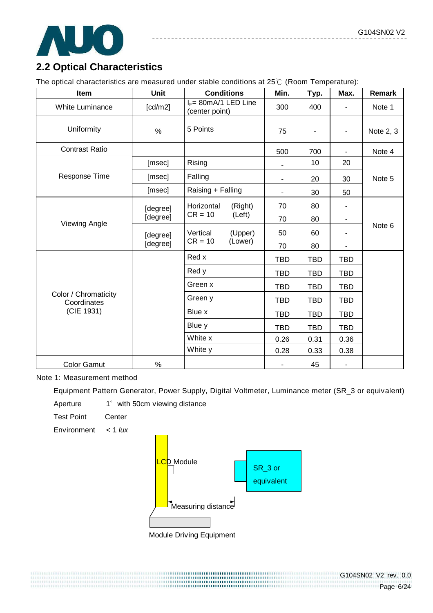

## **2.2 Optical Characteristics**

The optical characteristics are measured under stable conditions at 25℃ (Room Temperature):

| Item                                | Unit     | <b>Conditions</b>                          | Min.                     | Typ.       | Max.                     | Remark    |
|-------------------------------------|----------|--------------------------------------------|--------------------------|------------|--------------------------|-----------|
| White Luminance                     | [cd/m2]  | $I_F = 80$ mA/1 LED Line<br>(center point) | 300                      | 400        |                          | Note 1    |
| Uniformity                          | %        | 5 Points                                   | 75                       |            | $\overline{\phantom{a}}$ | Note 2, 3 |
| <b>Contrast Ratio</b>               |          |                                            | 500                      | 700        | ۰                        | Note 4    |
|                                     | [msec]   | Rising                                     |                          | 10         | 20                       |           |
| Response Time                       | [msec]   | Falling                                    | $\overline{\phantom{a}}$ | 20         | 30                       | Note 5    |
|                                     | [msec]   | Raising + Falling                          |                          | 30         | 50                       |           |
|                                     | [degree] | Horizontal<br>(Right)                      | 70                       | 80         |                          |           |
|                                     | [degree] | $CR = 10$<br>(Left)                        | 70                       | 80         | -                        |           |
| Viewing Angle                       | [degree] | Vertical<br>(Upper)                        | 50                       | 60         |                          | Note 6    |
|                                     | [degree] | (Lower)<br>$CR = 10$                       | 70                       | 80         | -                        |           |
|                                     |          | Red x                                      | <b>TBD</b>               | <b>TBD</b> | <b>TBD</b>               |           |
|                                     |          | Red y                                      | <b>TBD</b>               | <b>TBD</b> | <b>TBD</b>               |           |
|                                     |          | Green x                                    | <b>TBD</b>               | <b>TBD</b> | <b>TBD</b>               |           |
| Color / Chromaticity<br>Coordinates |          | Green y                                    | <b>TBD</b>               | <b>TBD</b> | <b>TBD</b>               |           |
| (CIE 1931)                          |          | Blue x                                     | <b>TBD</b>               | <b>TBD</b> | <b>TBD</b>               |           |
|                                     |          | Blue y                                     | <b>TBD</b>               | <b>TBD</b> | <b>TBD</b>               |           |
|                                     |          | White x                                    | 0.26                     | 0.31       | 0.36                     |           |
|                                     |          | White y                                    | 0.28                     | 0.33       | 0.38                     |           |
| <b>Color Gamut</b>                  | %        |                                            |                          | 45         |                          |           |

Note 1: Measurement method

Equipment Pattern Generator, Power Supply, Digital Voltmeter, Luminance meter (SR\_3 or equivalent)

Aperture 1° with 50cm viewing distance

Test Point Center

Environment  $< 1$  lux



Module Driving Equipment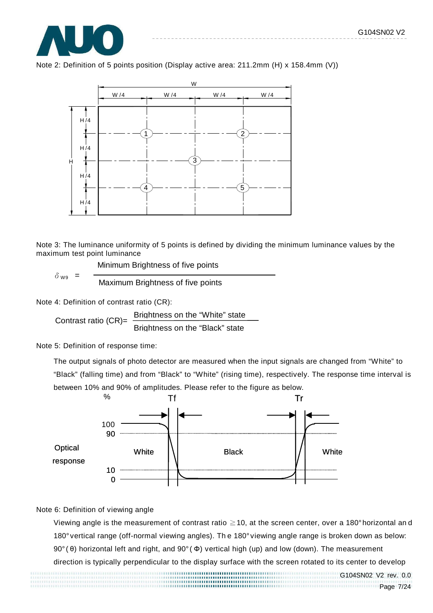





Note 3: The luminance uniformity of 5 points is defined by dividing the minimum luminance values by the maximum test point luminance

Minimum Brightness of five points

Maximum Brightness of five points

Note 4: Definition of contrast ratio (CR):

 $\delta$  wa =

Contrast ratio (CR)= Brightness on the "White" state Brightness on the "Black" state

Note 5: Definition of response time:

The output signals of photo detector are measured when the input signals are changed from "White" to "Black" (falling time) and from "Black" to "White" (rising time), respectively. The response time interval is between 10% and 90% of amplitudes. Please refer to the figure as below.



#### Note 6: Definition of viewing angle

Viewing angle is the measurement of contrast ratio ≧10, at the screen center, over a 180° horizontal an d 180° vertical range (off-normal viewing angles). Th e 180° viewing angle range is broken down as below: 90° ( θ) horizontal left and right, and 90° ( Φ) vertical high (up) and low (down). The measurement

direction is typically perpendicular to the display surface with the screen rotated to its center to develop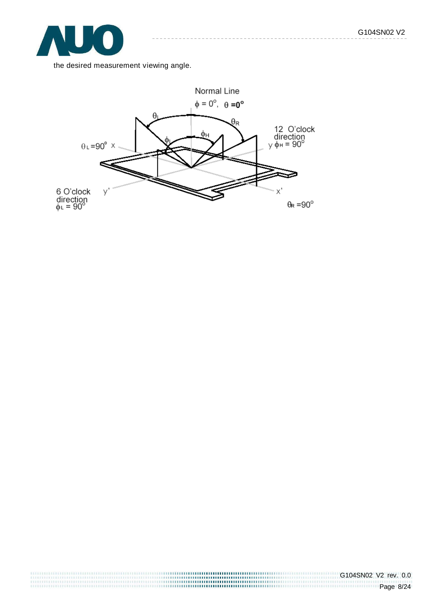

the desired measurement viewing angle.

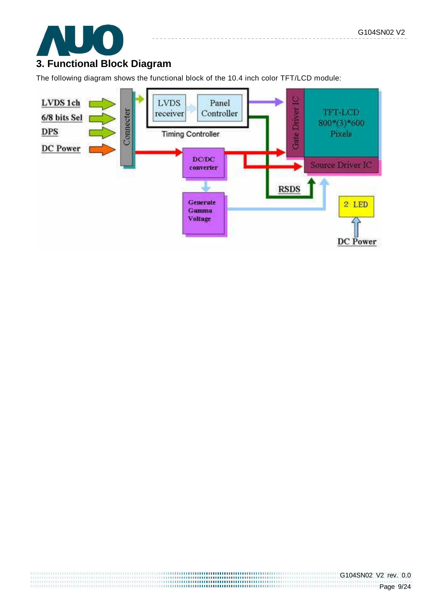

## **3. Functional Block Diagram**

The following diagram shows the functional block of the 10.4 inch color TFT/LCD module:

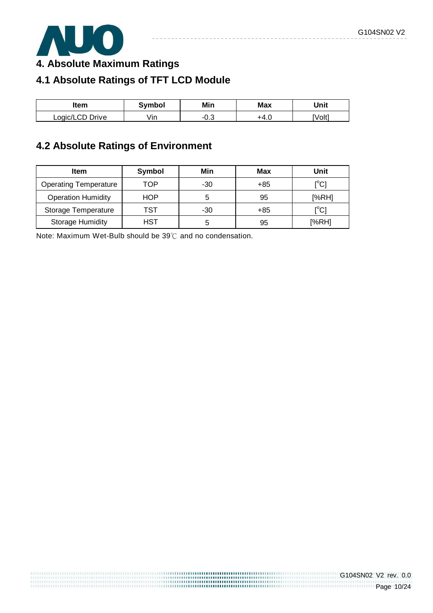

**4. Absolute Maximum Ratings** 

# **4.1 Absolute Ratings of TFT LCD Module**

| ltem            | Symbol | Min | Max    | Unit   |
|-----------------|--------|-----|--------|--------|
| Logic/LCD Drive | ∕ın    | v.J | − +4.ປ | [Volt] |

## **4.2 Absolute Ratings of Environment**

| <b>Item</b>                  | Symbol | Min   | Max | Unit                                  |
|------------------------------|--------|-------|-----|---------------------------------------|
| <b>Operating Temperature</b> | TOP    | $-30$ | +85 | [°C]                                  |
| <b>Operation Humidity</b>    | HOP    | 5     | 95  | [%RH]                                 |
| Storage Temperature          | TST    | $-30$ | +85 | $\mathop{\rm l}{\rm ^\circ C}{\rm l}$ |
| <b>Storage Humidity</b>      | HST    | 5     | 95  | [%RH]                                 |

,,,,,,,,,,,,,,,,,,,,,,,,,,,,,,,,,,,,

Note: Maximum Wet-Bulb should be 39℃ and no condensation.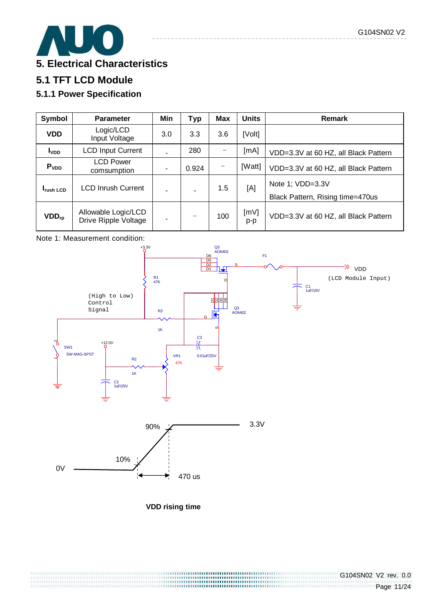

## **5.1 TFT LCD Module**

### **5.1.1 Power Specification**

| Symbol            | <b>Parameter</b>                            | Min | Typ   | <b>Max</b> | <b>Units</b> | <b>Remark</b>                                        |
|-------------------|---------------------------------------------|-----|-------|------------|--------------|------------------------------------------------------|
| <b>VDD</b>        | Logic/LCD<br>Input Voltage                  | 3.0 | 3.3   | 3.6        | [Volt]       |                                                      |
| I <sub>VDD</sub>  | <b>LCD Input Current</b>                    |     | 280   |            | [mA]         | VDD=3.3V at 60 HZ, all Black Pattern                 |
| P <sub>VDD</sub>  | <b>LCD Power</b><br>comsumption             | ٠   | 0.924 |            | [Watt]       | VDD=3.3V at 60 HZ, all Black Pattern                 |
| <b>I</b> rush LCD | <b>LCD Inrush Current</b>                   |     |       | 1.5        | [A]          | Note 1; VDD=3.3V<br>Black Pattern, Rising time=470us |
| $VDD_{rp}$        | Allowable Logic/LCD<br>Drive Ripple Voltage | -   |       | 100        | [MV]<br>p-p  | VDD=3.3V at 60 HZ, all Black Pattern                 |





**VDD rising time**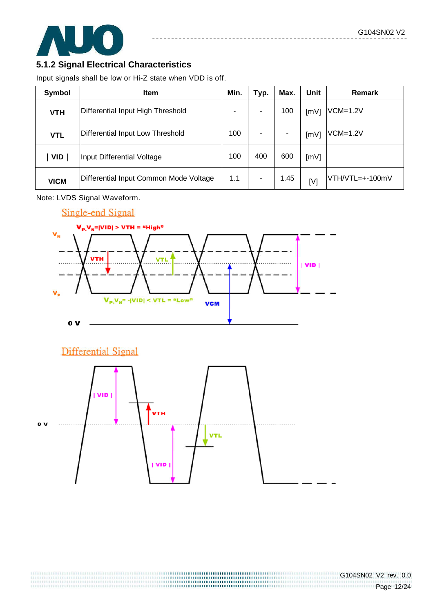

### **5.1.2 Signal Electrical Characteristics**

Input signals shall be low or Hi-Z state when VDD is off.

| Symbol      | <b>Item</b>                            | Min. | Typ. | Max. | Unit | <b>Remark</b>   |
|-------------|----------------------------------------|------|------|------|------|-----------------|
| <b>VTH</b>  | Differential Input High Threshold      | ۰    |      | 100  | [mV] | $VCM=1.2V$      |
| <b>VTL</b>  | Differential Input Low Threshold       | 100  |      | -    | [mV] | $VCM=1.2V$      |
| <b>VID</b>  | Input Differential Voltage             | 100  | 400  | 600  | [mV] |                 |
| <b>VICM</b> | Differential Input Common Mode Voltage | 1.1  | ٠    | 1.45 | [V]  | VTH/VTL=+-100mV |

Note: LVDS Signal Waveform.



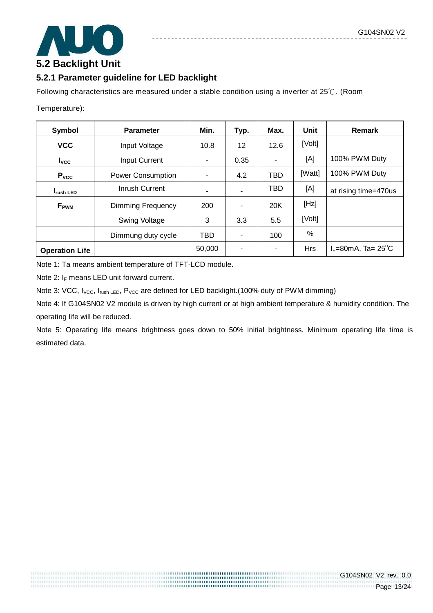

### **5.2.1 Parameter guideline for LED backlight**

Following characteristics are measured under a stable condition using a inverter at 25℃. (Room

Temperature):

| Symbol<br><b>Parameter</b>            |                          | Min.       | Typ.              | Max.       | Unit       | Remark                               |
|---------------------------------------|--------------------------|------------|-------------------|------------|------------|--------------------------------------|
| <b>VCC</b>                            | Input Voltage            | 10.8       | $12 \overline{ }$ | 12.6       | [Volt]     |                                      |
| $I_{\text{VCC}}$                      | <b>Input Current</b>     |            | 0.35              |            | [A]        | 100% PWM Duty                        |
| P <sub>VCC</sub>                      | <b>Power Consumption</b> |            | 4.2               | <b>TBD</b> | [Watt]     | 100% PWM Duty                        |
| Inrush Current<br><b>I</b> rush LED   |                          |            |                   | <b>TBD</b> | [A]        | at rising time=470us                 |
| Dimming Frequency<br>$F_{\text{PWM}}$ |                          | 200        |                   | 20K        | [Hz]       |                                      |
|                                       | <b>Swing Voltage</b>     | 3          | 3.3               | 5.5        | [Volt]     |                                      |
|                                       | Dimmung duty cycle       | <b>TBD</b> |                   | 100        | %          |                                      |
| <b>Operation Life</b>                 |                          | 50,000     |                   |            | <b>Hrs</b> | $I_F = 80$ mA, Ta= 25 <sup>°</sup> C |

Note 1: Ta means ambient temperature of TFT-LCD module.

Note 2:  $I_F$  means LED unit forward current.

Note 3: VCC, I<sub>VCC</sub>, I<sub>rush LED</sub>, P<sub>VCC</sub> are defined for LED backlight.(100% duty of PWM dimming)

Note 4: If G104SN02 V2 module is driven by high current or at high ambient temperature & humidity condition. The operating life will be reduced.

Note 5: Operating life means brightness goes down to 50% initial brightness. Minimum operating life time is estimated data.

> ,,,,,,,,,,,,,,,,,,,,,,,,,,,,,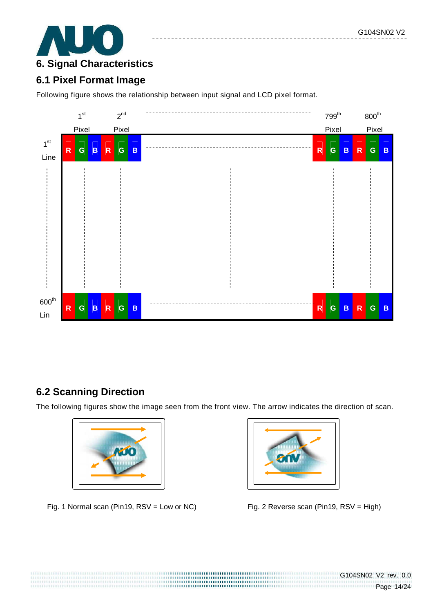

## **6.1 Pixel Format Image**

Following figure shows the relationship between input signal and LCD pixel format.



## **6.2 Scanning Direction**

The following figures show the image seen from the front view. The arrow indicates the direction of scan.



Fig. 1 Normal scan (Pin19, RSV = Low or NC) Fig. 2 Reverse scan (Pin19, RSV = High)

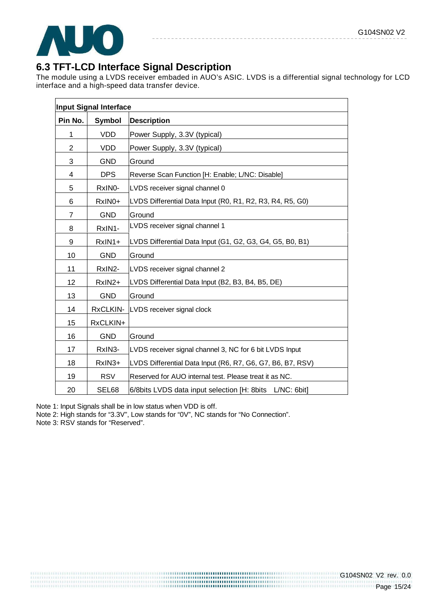

## **6.3 TFT-LCD Interface Signal Description**

The module using a LVDS receiver embaded in AUO's ASIC. LVDS is a differential signal technology for LCD interface and a high-speed data transfer device.

|         | Input Signal Interface |                                                            |
|---------|------------------------|------------------------------------------------------------|
| Pin No. | Symbol                 | <b>Description</b>                                         |
| 1       | <b>VDD</b>             | Power Supply, 3.3V (typical)                               |
| 2       | <b>VDD</b>             | Power Supply, 3.3V (typical)                               |
| 3       | <b>GND</b>             | Ground                                                     |
| 4       | <b>DPS</b>             | Reverse Scan Function [H: Enable; L/NC: Disable]           |
| 5       | RxINO-                 | LVDS receiver signal channel 0                             |
| 6       | RxIN0+                 | LVDS Differential Data Input (R0, R1, R2, R3, R4, R5, G0)  |
| 7       | <b>GND</b>             | Ground                                                     |
| 8       | RxIN1-                 | LVDS receiver signal channel 1                             |
| 9       | RxIN1+                 | LVDS Differential Data Input (G1, G2, G3, G4, G5, B0, B1)  |
| 10      | <b>GND</b>             | Ground                                                     |
| 11      | RxIN2-                 | LVDS receiver signal channel 2                             |
| 12      | RxIN2+                 | LVDS Differential Data Input (B2, B3, B4, B5, DE)          |
| 13      | <b>GND</b>             | Ground                                                     |
| 14      | RxCLKIN-               | LVDS receiver signal clock                                 |
| 15      | RxCLKIN+               |                                                            |
| 16      | <b>GND</b>             | Ground                                                     |
| 17      | RxIN3-                 | LVDS receiver signal channel 3, NC for 6 bit LVDS Input    |
| 18      | RxIN3+                 | LVDS Differential Data Input (R6, R7, G6, G7, B6, B7, RSV) |
| 19      | <b>RSV</b>             | Reserved for AUO internal test. Please treat it as NC.     |
| 20      | SEL68                  | 6/8bits LVDS data input selection [H: 8bits L/NC: 6bit]    |

1999 - 1999 - 1999 - 1999 - 1999 - 1999 - 1999 - 1999 - 1999 - 1999 - 1999 - 1999 - 1999 - 1999 - 1999 - 1999<br>1999 - 1999 - 1999 - 1999 - 1999 - 1999 - 1999 - 1999 - 1999 - 1999 - 1999 - 1999 - 1999 - 1999 - 1999 - 1999

Note 1: Input Signals shall be in low status when VDD is off.

Note 2: High stands for "3.3V", Low stands for "0V", NC stands for "No Connection".

Note 3: RSV stands for "Reserved".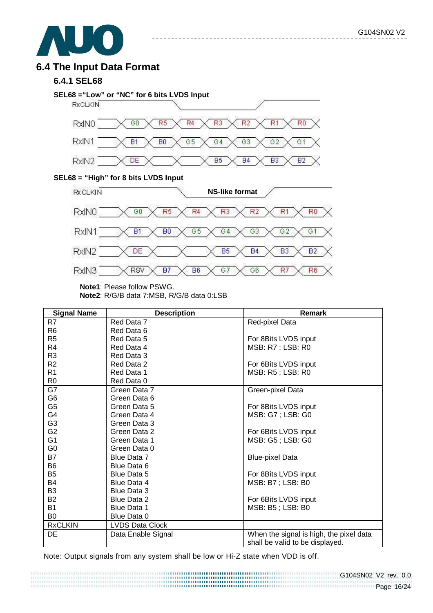

### **6.4 The Input Data Format**

#### **6.4.1 SEL68**



 $\frac{1}{2} \frac{1}{2} \frac{1}{2} \frac{1}{2} \frac{1}{2} \frac{1}{2} \frac{1}{2} \frac{1}{2} \frac{1}{2} \frac{1}{2} \frac{1}{2} \frac{1}{2} \frac{1}{2} \frac{1}{2} \frac{1}{2} \frac{1}{2} \frac{1}{2} \frac{1}{2} \frac{1}{2} \frac{1}{2} \frac{1}{2} \frac{1}{2} \frac{1}{2} \frac{1}{2} \frac{1}{2} \frac{1}{2} \frac{1}{2} \frac{1}{2} \frac{1}{2} \frac{1}{2} \frac{1}{2} \frac{$ 

#### **SEL68 = "High" for 8 bits LVDS Input**



**Note1**: Please follow PSWG.

**Note2**: R/G/B data 7:MSB, R/G/B data 0:LSB

| <b>Signal Name</b> | <b>Description</b>     | Remark                                  |
|--------------------|------------------------|-----------------------------------------|
| R7                 | Red Data 7             | Red-pixel Data                          |
| R <sub>6</sub>     | Red Data 6             |                                         |
| R <sub>5</sub>     | Red Data 5             | For 8Bits LVDS input                    |
| R4                 | Red Data 4             | MSB: R7 ; LSB: R0                       |
| R <sub>3</sub>     | Red Data 3             |                                         |
| R <sub>2</sub>     | Red Data 2             | For 6Bits LVDS input                    |
| R <sub>1</sub>     | Red Data 1             | MSB: R5; LSB: R0                        |
| R <sub>0</sub>     | Red Data 0             |                                         |
| G7                 | Green Data 7           | Green-pixel Data                        |
| G <sub>6</sub>     | Green Data 6           |                                         |
| G <sub>5</sub>     | Green Data 5           | For 8Bits LVDS input                    |
| G4                 | Green Data 4           | MSB: G7; LSB: G0                        |
| G <sub>3</sub>     | Green Data 3           |                                         |
| G <sub>2</sub>     | Green Data 2           | For 6Bits LVDS input                    |
| G <sub>1</sub>     | Green Data 1           | MSB: G5; LSB: G0                        |
| G <sub>0</sub>     | Green Data 0           |                                         |
| <b>B7</b>          | Blue Data 7            | <b>Blue-pixel Data</b>                  |
| B <sub>6</sub>     | Blue Data 6            |                                         |
| B <sub>5</sub>     | Blue Data 5            | For 8Bits LVDS input                    |
| B4                 | Blue Data 4            | MSB: B7 ; LSB: B0                       |
| B <sub>3</sub>     | <b>Blue Data 3</b>     |                                         |
| <b>B2</b>          | Blue Data 2            | For 6Bits LVDS input                    |
| <b>B1</b>          | <b>Blue Data 1</b>     | MSB: B5; LSB: B0                        |
| B <sub>0</sub>     | Blue Data 0            |                                         |
| <b>RxCLKIN</b>     | <b>LVDS Data Clock</b> |                                         |
| DE                 | Data Enable Signal     | When the signal is high, the pixel data |
|                    |                        | shall be valid to be displayed.         |

Note: Output signals from any system shall be low or Hi-Z state when VDD is off.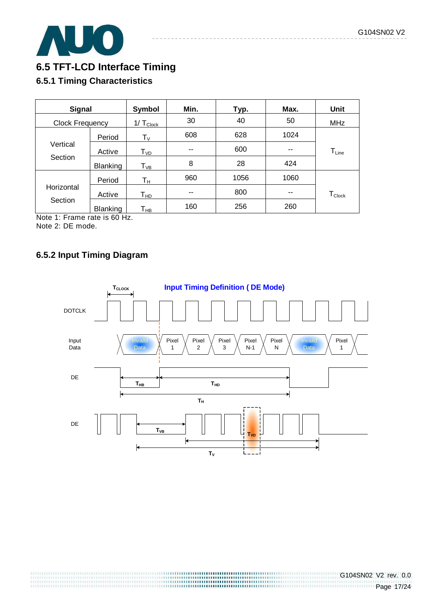

## **6.5 TFT-LCD Interface Timing**

### **6.5.1 Timing Characteristics**

| <b>Signal</b>                          |                 | Symbol                      | Min. | Typ. | Max. | Unit               |
|----------------------------------------|-----------------|-----------------------------|------|------|------|--------------------|
| Clock Frequency                        |                 | $1/T_{\text{Clock}}$        | 30   | 40   | 50   | <b>MHz</b>         |
|                                        | Period          | $T_{\rm V}$                 | 608  | 628  | 1024 |                    |
| Vertical                               | Active          | $\mathsf{T}_{\mathsf{VD}}$  | --   | 600  | --   | $T_{Line}$         |
| Section                                | Blanking        | ${\mathsf T}_{\textsf{VB}}$ | 8    | 28   | 424  |                    |
|                                        | Period          | Tн                          | 960  | 1056 | 1060 |                    |
| Horizontal                             | Active          | Т <sub>нр</sub>             | --   | 800  | --   | $T_{\text{Clock}}$ |
| Section<br>$\sim$ $\sim$ $\sim$ $\sim$ | <b>Blanking</b> | Т <sub>нв</sub>             | 160  | 256  | 260  |                    |

Note 1: Frame rate is 60 Hz. Note 2: DE mode.

### **6.5.2 Input Timing Diagram**

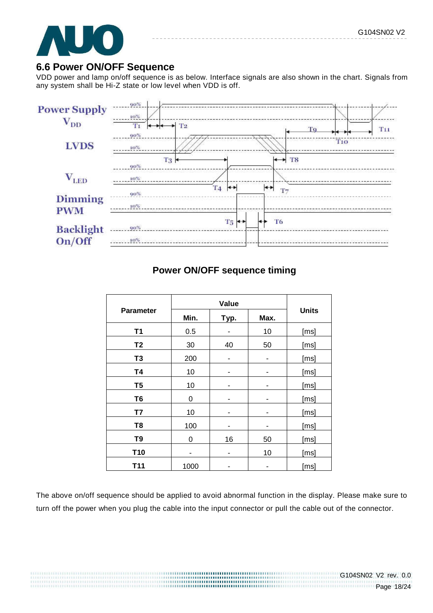

### **6.6 Power ON/OFF Sequence**

VDD power and lamp on/off sequence is as below. Interface signals are also shown in the chart. Signals from any system shall be Hi-Z state or low level when VDD is off.



## **Power ON/OFF sequence timing**

|                  | Value |      |      |              |
|------------------|-------|------|------|--------------|
| <b>Parameter</b> | Min.  | Typ. | Max. | <b>Units</b> |
| <b>T1</b>        | 0.5   | -    | 10   | [ms]         |
| T <sub>2</sub>   | 30    | 40   | 50   | [ms]         |
| T <sub>3</sub>   | 200   | ٠    | ۰    | [ms]         |
| <b>T4</b>        | 10    | ۰    |      | [ms]         |
| T <sub>5</sub>   | 10    | -    |      | [ms]         |
| T <sub>6</sub>   | 0     | -    |      | [ms]         |
| T7               | 10    | -    | -    | [ms]         |
| T <sub>8</sub>   | 100   | ۰    | ۰    | [ms]         |
| T <sub>9</sub>   | 0     | 16   | 50   | [ms]         |
| T <sub>10</sub>  | ۰     | ۰    | 10   | [ms]         |
| T11              | 1000  |      |      | [ms]         |

The above on/off sequence should be applied to avoid abnormal function in the display. Please make sure to turn off the power when you plug the cable into the input connector or pull the cable out of the connector.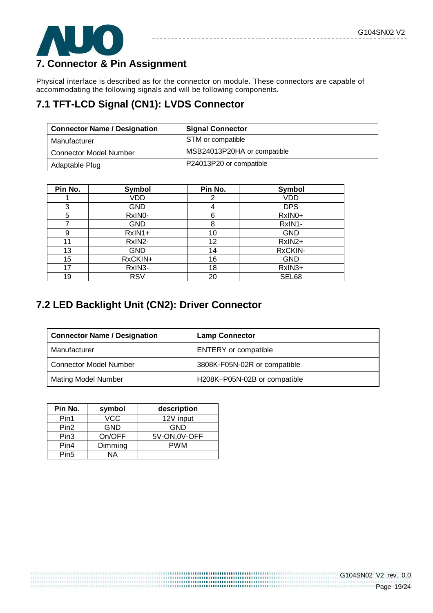

## **7. Connector & Pin Assignment**

Physical interface is described as for the connector on module. These connectors are capable of accommodating the following signals and will be following components.

## **7.1 TFT-LCD Signal (CN1): LVDS Connector**

| <b>Connector Name / Designation</b> | <b>Signal Connector</b>     |
|-------------------------------------|-----------------------------|
| Manufacturer                        | STM or compatible           |
| <b>Connector Model Number</b>       | MSB24013P20HA or compatible |
| Adaptable Plug                      | P24013P20 or compatible     |

| Pin No. | Symbol              | Pin No. | Symbol     |
|---------|---------------------|---------|------------|
|         | VDD                 | 2       | VDD        |
| 3       | <b>GND</b>          | 4       | <b>DPS</b> |
| 5       | RxIN <sub>0</sub> - | 6       | RxIN0+     |
| 7       | <b>GND</b>          | 8       | RxIN1-     |
| 9       | $RxIN1+$            | 10      | <b>GND</b> |
| 11      | RxIN2-              | 12      | RxIN2+     |
| 13      | <b>GND</b>          | 14      | RxCKIN-    |
| 15      | RxCKIN+             | 16      | <b>GND</b> |
| 17      | RxIN3-              | 18      | RxIN3+     |
| 19      | <b>RSV</b>          | 20      | SEL68      |

## **7.2 LED Backlight Unit (CN2): Driver Connector**

| <b>Connector Name / Designation</b> | <b>Lamp Connector</b>        |
|-------------------------------------|------------------------------|
| Manufacturer                        | <b>ENTERY</b> or compatible  |
| <b>Connector Model Number</b>       | 3808K-F05N-02R or compatible |
| <b>Mating Model Number</b>          | H208K-P05N-02B or compatible |

| Pin No.          | symbol  | description   |
|------------------|---------|---------------|
| Pin1             | VCC     | 12V input     |
| Pin <sub>2</sub> | GND     | GND           |
| Pin <sub>3</sub> | On/OFF  | 5V-ON, 0V-OFF |
| Pin4             | Dimming | <b>PWM</b>    |
| Pin <sub>5</sub> | ΝA      |               |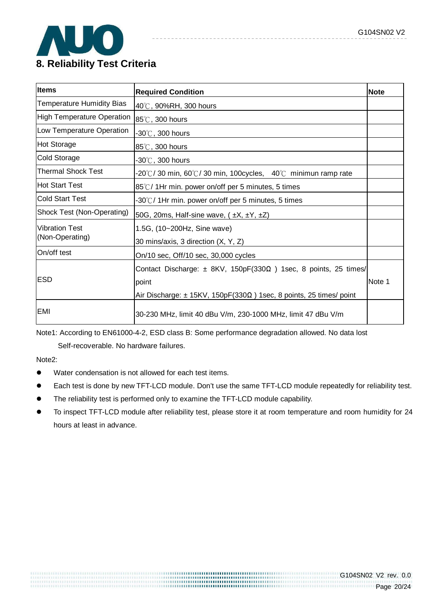

| <b>Items</b>                      | <b>Required Condition</b>                                                       | Note   |
|-----------------------------------|---------------------------------------------------------------------------------|--------|
| <b>Temperature Humidity Bias</b>  | 40°C, 90%RH, 300 hours                                                          |        |
| <b>High Temperature Operation</b> | 85℃, 300 hours                                                                  |        |
| Low Temperature Operation         | -30 $^\circ\!{\rm C}$ , 300 hours                                               |        |
| Hot Storage                       | 85℃, 300 hours                                                                  |        |
| <b>Cold Storage</b>               | $-30^{\circ}$ C, 300 hours                                                      |        |
| <b>Thermal Shock Test</b>         | -20°C/30 min, 60°C/30 min, 100cycles, 40°C minimun ramp rate                    |        |
| lHot Start Test                   | 85℃/1Hr min. power on/off per 5 minutes, 5 times                                |        |
| <b>Cold Start Test</b>            | -30 $\degree$ C/1Hr min. power on/off per 5 minutes, 5 times                    |        |
| Shock Test (Non-Operating)        | 50G, 20ms, Half-sine wave, $(\pm X, \pm Y, \pm Z)$                              |        |
| <b>Vibration Test</b>             | 1.5G, (10~200Hz, Sine wave)                                                     |        |
| (Non-Operating)                   | 30 mins/axis, 3 direction (X, Y, Z)                                             |        |
| On/off test                       | On/10 sec, Off/10 sec, 30,000 cycles                                            |        |
|                                   | Contact Discharge: $\pm$ 8KV, 150pF(330 $\Omega$ ) 1sec, 8 points, 25 times/    |        |
| <b>ESD</b>                        | point                                                                           | Note 1 |
|                                   | Air Discharge: $\pm$ 15KV, 150pF(330 $\Omega$ ) 1sec, 8 points, 25 times/ point |        |
| <b>EMI</b>                        | 30-230 MHz, limit 40 dBu V/m, 230-1000 MHz, limit 47 dBu V/m                    |        |

Note1: According to EN61000-4-2, ESD class B: Some performance degradation allowed. No data lost

Self-recoverable. No hardware failures.

Note2:

- Water condensation is not allowed for each test items.
- Each test is done by new TFT-LCD module. Don't use the same TFT-LCD module repeatedly for reliability test.
- The reliability test is performed only to examine the TFT-LCD module capability.
- To inspect TFT-LCD module after reliability test, please store it at room temperature and room humidity for 24 hours at least in advance.

,,,,,,,,,,,,,,,,,,,,,,,,,,,,,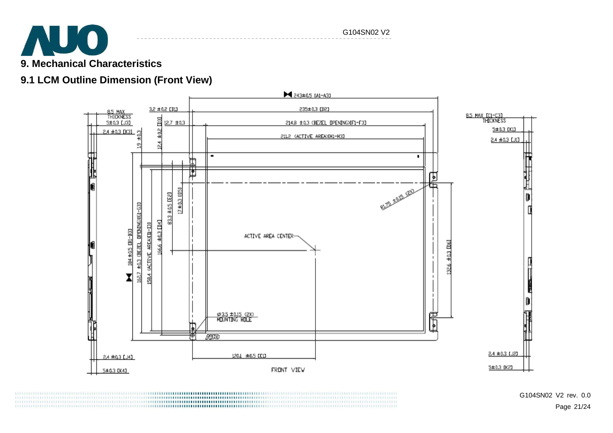

#### G104SN02 V2

# **9.1 LCM Outline Dimension (Front View)**



G104SN02 V2 rev. 0.0 Page 21/24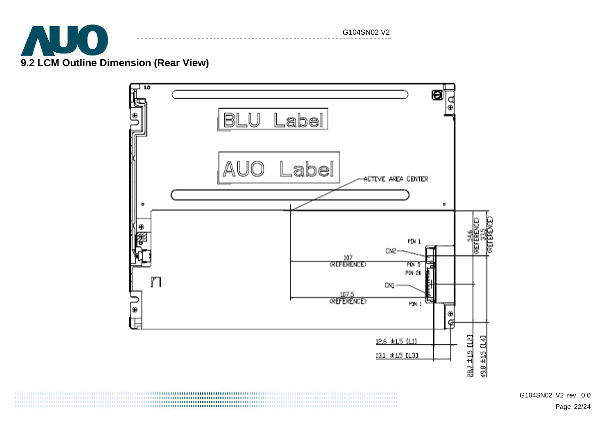

G104SN02 V2

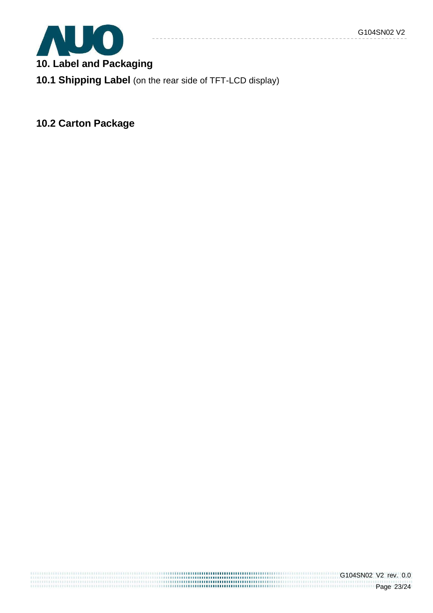

**10. Label and Packaging** 

**10.1 Shipping Label** (on the rear side of TFT-LCD display)

**10.2 Carton Package**